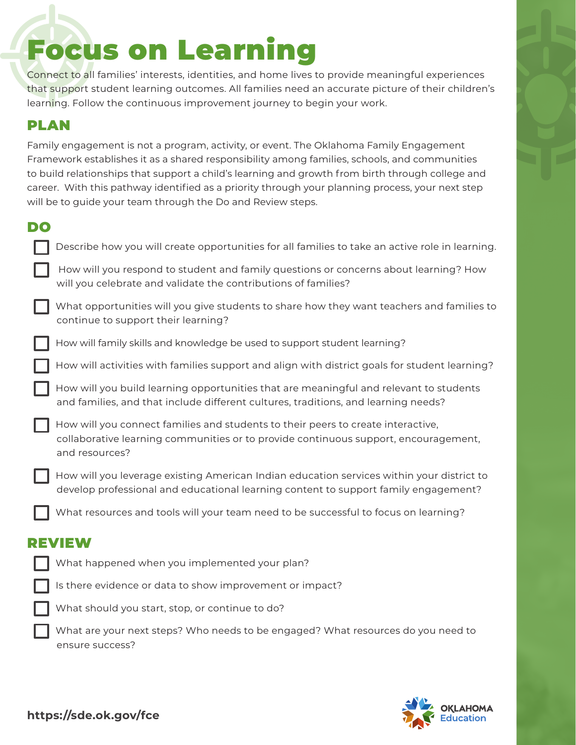# Focus on Learning

Connect to all families' interests, identities, and home lives to provide meaningful experiences that support student learning outcomes. All families need an accurate picture of their children's learning. Follow the continuous improvement journey to begin your work.

# PLAN

Family engagement is not a program, activity, or event. The Oklahoma Family Engagement Framework establishes it as a shared responsibility among families, schools, and communities to build relationships that support a child's learning and growth from birth through college and career. With this pathway identified as a priority through your planning process, your next step will be to guide your team through the Do and Review steps.

|        | ٣<br>2010    |
|--------|--------------|
| ٧<br>٩ | ×<br>۰,<br>٠ |

| DO            |                                                                                                                                                                                           |  |
|---------------|-------------------------------------------------------------------------------------------------------------------------------------------------------------------------------------------|--|
|               | Describe how you will create opportunities for all families to take an active role in learning.                                                                                           |  |
|               | How will you respond to student and family questions or concerns about learning? How<br>will you celebrate and validate the contributions of families?                                    |  |
|               | What opportunities will you give students to share how they want teachers and families to<br>continue to support their learning?                                                          |  |
|               | How will family skills and knowledge be used to support student learning?                                                                                                                 |  |
|               | How will activities with families support and align with district goals for student learning?                                                                                             |  |
|               | How will you build learning opportunities that are meaningful and relevant to students<br>and families, and that include different cultures, traditions, and learning needs?              |  |
|               | How will you connect families and students to their peers to create interactive,<br>collaborative learning communities or to provide continuous support, encouragement,<br>and resources? |  |
|               | How will you leverage existing American Indian education services within your district to<br>develop professional and educational learning content to support family engagement?          |  |
|               | What resources and tools will your team need to be successful to focus on learning?                                                                                                       |  |
| <b>REVIEW</b> |                                                                                                                                                                                           |  |
|               | What happened when you implemented your plan?                                                                                                                                             |  |
|               | Is there evidence or data to show improvement or impact?                                                                                                                                  |  |

What should you start, stop, or continue to do?

 What are your next steps? Who needs to be engaged? What resources do you need to ensure success?



**https://sde.ok.gov/fce**